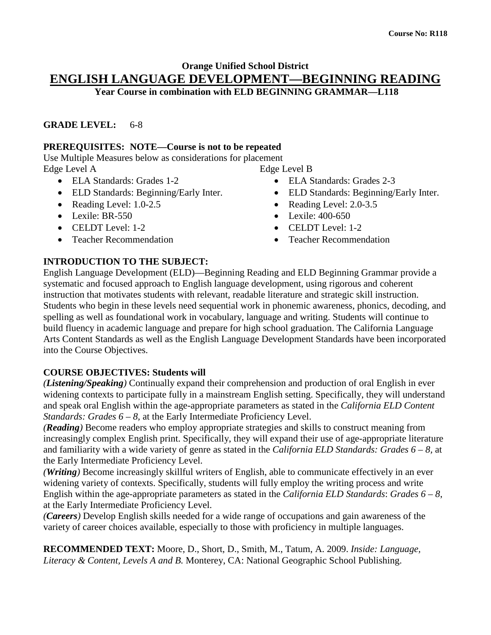#### **Orange Unified School District ENGLISH LANGUAGE DEVELOPMENT—BEGINNING READING Year Course in combination with ELD BEGINNING GRAMMAR—L118**

#### **GRADE LEVEL:** 6-8

#### **PREREQUISITES: NOTE—Course is not to be repeated**

Use Multiple Measures below as considerations for placement Edge Level A

- ELA Standards: Grades 1-2
- ELD Standards: Beginning/Early Inter.
- Reading Level: 1.0-2.5
- Lexile: BR-550
- CELDT Level: 1-2
- Teacher Recommendation

Edge Level B

- ELA Standards: Grades 2-3
- ELD Standards: Beginning/Early Inter.
- Reading Level: 2.0-3.5
- Lexile: 400-650
- CELDT Level: 1-2
- Teacher Recommendation

# **INTRODUCTION TO THE SUBJECT:**

English Language Development (ELD)—Beginning Reading and ELD Beginning Grammar provide a systematic and focused approach to English language development, using rigorous and coherent instruction that motivates students with relevant, readable literature and strategic skill instruction. Students who begin in these levels need sequential work in phonemic awareness, phonics, decoding, and spelling as well as foundational work in vocabulary, language and writing. Students will continue to build fluency in academic language and prepare for high school graduation. The California Language Arts Content Standards as well as the English Language Development Standards have been incorporated into the Course Objectives.

### **COURSE OBJECTIVES: Students will**

*(Listening/Speaking)* Continually expand their comprehension and production of oral English in ever widening contexts to participate fully in a mainstream English setting. Specifically, they will understand and speak oral English within the age-appropriate parameters as stated in the *California ELD Content Standards: Grades 6 – 8, at the Early Intermediate Proficiency Level.* 

*(Reading)* Become readers who employ appropriate strategies and skills to construct meaning from increasingly complex English print. Specifically, they will expand their use of age-appropriate literature and familiarity with a wide variety of genre as stated in the *California ELD Standards: Grades 6 – 8,* at the Early Intermediate Proficiency Level.

*(Writing)* Become increasingly skillful writers of English, able to communicate effectively in an ever widening variety of contexts. Specifically, students will fully employ the writing process and write English within the age-appropriate parameters as stated in the *California ELD Standards*: *Grades 6 – 8*, at the Early Intermediate Proficiency Level.

*(Careers)* Develop English skills needed for a wide range of occupations and gain awareness of the variety of career choices available, especially to those with proficiency in multiple languages.

**RECOMMENDED TEXT:** Moore, D., Short, D., Smith, M., Tatum, A. 2009. *Inside: Language, Literacy & Content, Levels A and B.* Monterey, CA: National Geographic School Publishing.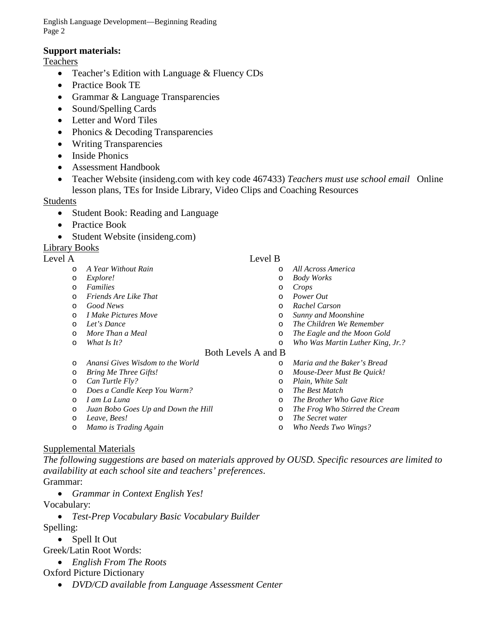English Language Development—Beginning Reading Page 2

#### **Support materials:**

**Teachers** 

- Teacher's Edition with Language & Fluency CDs
- Practice Book TE
- Grammar & Language Transparencies
- Sound/Spelling Cards
- Letter and Word Tiles
- Phonics & Decoding Transparencies
- Writing Transparencies
- Inside Phonics
- Assessment Handbook
- Teacher Website (insideng.com with key code 467433) *Teachers must use school email* Online lesson plans, TEs for Inside Library, Video Clips and Coaching Resources

#### Students

- Student Book: Reading and Language
- Practice Book
- Student Website (insideng.com)

### Library Books

#### Level A Level B

- o *A Year Without Rain*
- o *Explore!*
- o *Families*
- o *Friends Are Like That*
- o *Good News*
- o *I Make Pictures Move*
- o *Let's Dance*
- o *More Than a Meal*
- o *What Is It?*

# o *All Across America*

- o *Body Works*
- o *Crops*
- o *Power Out*
- o *Rachel Carson*
- o *Sunny and Moonshine*
- o *The Children We Remember*
- o *The Eagle and the Moon Gold*
- o *Who Was Martin Luther King, Jr.?*

#### Both Levels A and B

- o *Anansi Gives Wisdom to the World*
- o *Bring Me Three Gifts!*
- o *Can Turtle Fly?*
- o *Does a Candle Keep You Warm?*
- o *I am La Luna*
- o *Juan Bobo Goes Up and Down the Hill*
- o *Leave, Bees!*
- o *Mamo is Trading Again*
- o *Maria and the Baker's Bread* o *Mouse-Deer Must Be Quick!*
- o *Plain, White Salt*
- o *The Brother Who Gave Rice*
- o *The Frog Who Stirred the Cream*
- o *The Secret water*
- o *Who Needs Two Wings?*

# Supplemental Materials

*The following suggestions are based on materials approved by OUSD. Specific resources are limited to availability at each school site and teachers' preferences*. Grammar:

- *Grammar in Context English Yes!*
- Vocabulary:
	- *Test-Prep Vocabulary Basic Vocabulary Builder*
- Spelling:
	- Spell It Out

Greek/Latin Root Words:

• *English From The Roots* 

# Oxford Picture Dictionary

• *DVD/CD available from Language Assessment Center*

- o *The Best Match*
	-
	-
	-
	-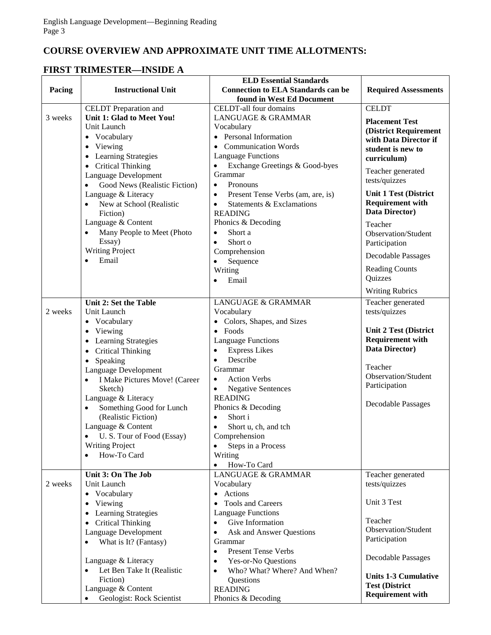# **COURSE OVERVIEW AND APPROXIMATE UNIT TIME ALLOTMENTS:**

### **FIRST TRIMESTER—INSIDE A**

|         |                                                 | <b>ELD Essential Standards</b>                     |                              |
|---------|-------------------------------------------------|----------------------------------------------------|------------------------------|
| Pacing  | <b>Instructional Unit</b>                       | <b>Connection to ELA Standards can be</b>          | <b>Required Assessments</b>  |
|         |                                                 | found in West Ed Document                          |                              |
|         | <b>CELDT</b> Preparation and                    | CELDT-all four domains                             | <b>CELDT</b>                 |
| 3 weeks | Unit 1: Glad to Meet You!                       | LANGUAGE & GRAMMAR                                 | <b>Placement Test</b>        |
|         | Unit Launch                                     | Vocabulary                                         | (District Requirement        |
|         | • Vocabulary                                    | • Personal Information                             | with Data Director if        |
|         | Viewing<br>$\bullet$                            | • Communication Words                              | student is new to            |
|         | <b>Learning Strategies</b>                      | <b>Language Functions</b>                          | curriculum)                  |
|         | <b>Critical Thinking</b>                        | Exchange Greetings & Good-byes<br>$\bullet$        | Teacher generated            |
|         | Language Development                            | Grammar                                            | tests/quizzes                |
|         | Good News (Realistic Fiction)                   | Pronouns<br>$\bullet$                              |                              |
|         | Language & Literacy                             | Present Tense Verbs (am, are, is)<br>$\bullet$     | <b>Unit 1 Test (District</b> |
|         | New at School (Realistic                        | Statements & Exclamations<br>$\bullet$             | <b>Requirement with</b>      |
|         | Fiction)                                        | <b>READING</b>                                     | Data Director)               |
|         | Language & Content                              | Phonics & Decoding                                 | Teacher                      |
|         | Many People to Meet (Photo                      | Short a<br>$\bullet$                               | Observation/Student          |
|         | Essay)                                          | Short o<br>$\bullet$                               | Participation                |
|         | <b>Writing Project</b>                          | Comprehension                                      | <b>Decodable Passages</b>    |
|         | Email                                           | $\bullet$<br>Sequence                              | <b>Reading Counts</b>        |
|         |                                                 | Writing                                            | Quizzes                      |
|         |                                                 | Email<br>$\bullet$                                 |                              |
|         |                                                 |                                                    | <b>Writing Rubrics</b>       |
|         | Unit 2: Set the Table                           | <b>LANGUAGE &amp; GRAMMAR</b>                      | Teacher generated            |
| 2 weeks | Unit Launch                                     | Vocabulary                                         | tests/quizzes                |
|         | • Vocabulary                                    | • Colors, Shapes, and Sizes                        |                              |
|         | Viewing<br>$\bullet$                            | $\bullet$ Foods                                    | <b>Unit 2 Test (District</b> |
|         | Learning Strategies                             | <b>Language Functions</b>                          | <b>Requirement with</b>      |
|         | <b>Critical Thinking</b><br>$\bullet$           | <b>Express Likes</b><br>$\bullet$                  | Data Director)               |
|         | Speaking<br>$\bullet$                           | Describe<br>$\bullet$                              | Teacher                      |
|         | Language Development                            | Grammar                                            | Observation/Student          |
|         | I Make Pictures Move! (Career<br>$\bullet$      | <b>Action Verbs</b><br>$\bullet$                   | Participation                |
|         | Sketch)                                         | <b>Negative Sentences</b><br>$\bullet$             |                              |
|         | Language & Literacy                             | <b>READING</b>                                     | <b>Decodable Passages</b>    |
|         | Something Good for Lunch<br>(Realistic Fiction) | Phonics & Decoding<br>Short i                      |                              |
|         | Language & Content                              |                                                    |                              |
|         | U.S. Tour of Food (Essay)                       | Short u, ch, and tch<br>$\bullet$<br>Comprehension |                              |
|         | <b>Writing Project</b>                          | Steps in a Process                                 |                              |
|         | How-To Card                                     | Writing                                            |                              |
|         |                                                 | How-To Card<br>$\bullet$                           |                              |
|         | Unit 3: On The Job                              | <b>LANGUAGE &amp; GRAMMAR</b>                      | Teacher generated            |
| 2 weeks | Unit Launch                                     | Vocabulary                                         | tests/quizzes                |
|         | • Vocabulary                                    | • Actions                                          |                              |
|         | Viewing<br>$\bullet$                            | <b>Tools and Careers</b>                           | Unit 3 Test                  |
|         | <b>Learning Strategies</b><br>$\bullet$         | <b>Language Functions</b>                          |                              |
|         | <b>Critical Thinking</b>                        | Give Information<br>$\bullet$                      | Teacher                      |
|         | Language Development                            | Ask and Answer Questions<br>$\bullet$              | Observation/Student          |
|         | What is It? (Fantasy)                           | Grammar                                            | Participation                |
|         |                                                 | <b>Present Tense Verbs</b><br>$\bullet$            |                              |
|         | Language & Literacy                             | Yes-or-No Questions<br>$\bullet$                   | Decodable Passages           |
|         | Let Ben Take It (Realistic                      | Who? What? Where? And When?<br>$\bullet$           |                              |
|         | Fiction)                                        | Questions                                          | <b>Units 1-3 Cumulative</b>  |
|         | Language & Content                              | <b>READING</b>                                     | <b>Test (District</b>        |
|         | Geologist: Rock Scientist                       | Phonics & Decoding                                 | <b>Requirement with</b>      |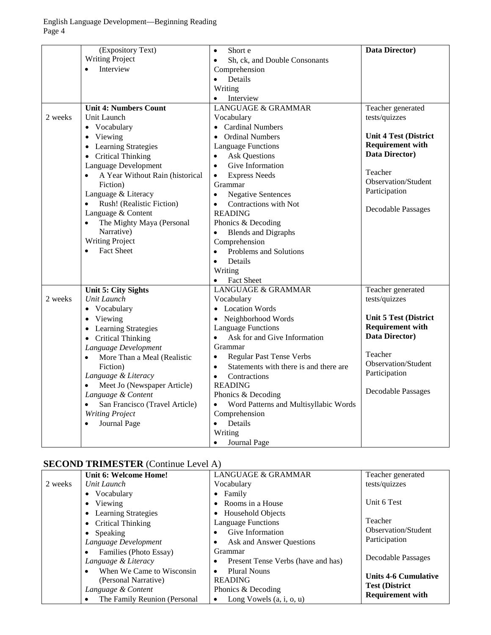|         | (Expository Text)                            | Short e<br>$\bullet$                                | Data Director)               |
|---------|----------------------------------------------|-----------------------------------------------------|------------------------------|
|         | <b>Writing Project</b>                       | Sh, ck, and Double Consonants<br>$\bullet$          |                              |
|         | Interview<br>$\bullet$                       | Comprehension                                       |                              |
|         |                                              | Details<br>$\bullet$                                |                              |
|         |                                              | Writing                                             |                              |
|         |                                              | Interview<br>$\bullet$                              |                              |
|         | <b>Unit 4: Numbers Count</b>                 | <b>LANGUAGE &amp; GRAMMAR</b>                       | Teacher generated            |
| 2 weeks | Unit Launch                                  | Vocabulary                                          | tests/quizzes                |
|         | • Vocabulary                                 | • Cardinal Numbers                                  |                              |
|         | Viewing<br>$\bullet$                         | • Ordinal Numbers                                   | <b>Unit 4 Test (District</b> |
|         | <b>Learning Strategies</b><br>$\bullet$      | <b>Language Functions</b>                           | <b>Requirement with</b>      |
|         | <b>Critical Thinking</b>                     | <b>Ask Questions</b><br>$\bullet$                   | Data Director)               |
|         | Language Development                         | Give Information<br>$\bullet$                       |                              |
|         | A Year Without Rain (historical<br>$\bullet$ | <b>Express Needs</b><br>$\bullet$                   | Teacher                      |
|         | Fiction)                                     | Grammar                                             | Observation/Student          |
|         | Language & Literacy                          | <b>Negative Sentences</b><br>$\bullet$              | Participation                |
|         | Rush! (Realistic Fiction)<br>$\bullet$       | Contractions with Not<br>$\bullet$                  |                              |
|         | Language & Content                           | <b>READING</b>                                      | Decodable Passages           |
|         | The Mighty Maya (Personal<br>$\bullet$       | Phonics & Decoding                                  |                              |
|         | Narrative)                                   | <b>Blends and Digraphs</b>                          |                              |
|         | <b>Writing Project</b>                       | Comprehension                                       |                              |
|         | <b>Fact Sheet</b><br>$\bullet$               | Problems and Solutions<br>$\bullet$                 |                              |
|         |                                              | Details<br>$\bullet$                                |                              |
|         |                                              | Writing                                             |                              |
|         |                                              | Fact Sheet<br>$\bullet$                             |                              |
|         | <b>Unit 5: City Sights</b>                   | <b>LANGUAGE &amp; GRAMMAR</b>                       | Teacher generated            |
| 2 weeks | Unit Launch                                  | Vocabulary                                          | tests/quizzes                |
|         | • Vocabulary                                 | • Location Words                                    |                              |
|         | Viewing<br>$\bullet$                         | • Neighborhood Words                                | Unit 5 Test (District        |
|         | <b>Learning Strategies</b><br>$\bullet$      | <b>Language Functions</b>                           | <b>Requirement with</b>      |
|         | <b>Critical Thinking</b><br>$\bullet$        | Ask for and Give Information<br>$\bullet$           | Data Director)               |
|         | Language Development                         | Grammar                                             |                              |
|         | More Than a Meal (Realistic<br>$\bullet$     | Regular Past Tense Verbs<br>$\bullet$               | Teacher                      |
|         | Fiction)                                     | Statements with there is and there are<br>$\bullet$ | Observation/Student          |
|         | Language & Literacy                          | Contractions<br>$\bullet$                           | Participation                |
|         | Meet Jo (Newspaper Article)<br>$\bullet$     | <b>READING</b>                                      | <b>Decodable Passages</b>    |
|         | Language & Content                           | Phonics & Decoding                                  |                              |
|         | San Francisco (Travel Article)               | Word Patterns and Multisyllabic Words<br>$\bullet$  |                              |
|         | <b>Writing Project</b>                       | Comprehension                                       |                              |
|         | Journal Page<br>$\bullet$                    | Details<br>$\bullet$                                |                              |
|         |                                              | Writing                                             |                              |
|         |                                              | Journal Page<br>$\bullet$                           |                              |

# **SECOND TRIMESTER** (Continue Level A)

|         | Unit 6: Welcome Home!                   | <b>LANGUAGE &amp; GRAMMAR</b>           | Teacher generated           |
|---------|-----------------------------------------|-----------------------------------------|-----------------------------|
| 2 weeks | Unit Launch                             | Vocabulary                              | tests/quizzes               |
|         | • Vocabulary                            | $\bullet$ Family                        |                             |
|         | • Viewing                               | • Rooms in a House                      | Unit 6 Test                 |
|         | <b>Learning Strategies</b><br>$\bullet$ | • Household Objects                     |                             |
|         | • Critical Thinking                     | <b>Language Functions</b>               | Teacher                     |
|         | • Speaking                              | Give Information                        | <b>Observation/Student</b>  |
|         | Language Development                    | Ask and Answer Questions                | Participation               |
|         | Families (Photo Essay)<br>$\bullet$     | Grammar                                 |                             |
|         | Language & Literacy                     | Present Tense Verbs (have and has)<br>٠ | Decodable Passages          |
|         | When We Came to Wisconsin<br>$\bullet$  | <b>Plural Nouns</b><br>$\bullet$        |                             |
|         | (Personal Narrative)                    | <b>READING</b>                          | <b>Units 4-6 Cumulative</b> |
|         | Language & Content                      | Phonics & Decoding                      | <b>Test (District)</b>      |
|         | The Family Reunion (Personal<br>٠       | Long Vowels $(a, i, o, u)$<br>$\bullet$ | <b>Requirement with</b>     |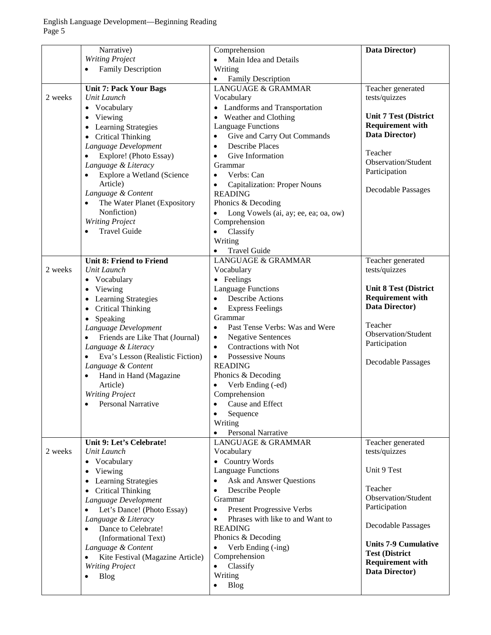|         | Narrative)                                                    | Comprehension                                                      | Data Director)               |
|---------|---------------------------------------------------------------|--------------------------------------------------------------------|------------------------------|
|         | <b>Writing Project</b>                                        | Main Idea and Details<br>$\bullet$                                 |                              |
|         | <b>Family Description</b><br>$\bullet$                        | Writing                                                            |                              |
|         |                                                               | <b>Family Description</b><br>$\bullet$                             |                              |
|         | <b>Unit 7: Pack Your Bags</b>                                 | <b>LANGUAGE &amp; GRAMMAR</b>                                      | Teacher generated            |
| 2 weeks | Unit Launch                                                   | Vocabulary                                                         | tests/quizzes                |
|         | Vocabulary<br>$\bullet$                                       | • Landforms and Transportation                                     |                              |
|         | Viewing<br>$\bullet$                                          | • Weather and Clothing                                             | <b>Unit 7 Test (District</b> |
|         | Learning Strategies<br>$\bullet$                              | <b>Language Functions</b>                                          | <b>Requirement with</b>      |
|         | <b>Critical Thinking</b><br>$\bullet$                         | Give and Carry Out Commands<br>$\bullet$                           | Data Director)               |
|         | Language Development                                          | <b>Describe Places</b><br>$\bullet$                                |                              |
|         | Explore! (Photo Essay)<br>$\bullet$                           | Give Information<br>$\bullet$                                      | Teacher                      |
|         | Language & Literacy                                           | Grammar                                                            | Observation/Student          |
|         | Explore a Wetland (Science<br>$\bullet$                       | Verbs: Can<br>$\bullet$                                            | Participation                |
|         | Article)                                                      |                                                                    |                              |
|         | Language & Content                                            | <b>Capitalization: Proper Nouns</b><br>$\bullet$<br><b>READING</b> | Decodable Passages           |
|         | $\bullet$                                                     | Phonics & Decoding                                                 |                              |
|         | The Water Planet (Expository                                  |                                                                    |                              |
|         | Nonfiction)                                                   | Long Vowels (ai, ay; ee, ea; oa, ow)<br>$\bullet$                  |                              |
|         | <b>Writing Project</b>                                        | Comprehension                                                      |                              |
|         | <b>Travel Guide</b><br>$\bullet$                              | Classify<br>$\bullet$                                              |                              |
|         |                                                               | Writing                                                            |                              |
|         |                                                               | <b>Travel Guide</b><br>$\bullet$                                   |                              |
|         | <b>Unit 8: Friend to Friend</b>                               | <b>LANGUAGE &amp; GRAMMAR</b>                                      | Teacher generated            |
| 2 weeks | Unit Launch                                                   | Vocabulary                                                         | tests/quizzes                |
|         | Vocabulary<br>$\bullet$                                       | • Feelings                                                         |                              |
|         | Viewing<br>$\bullet$                                          | <b>Language Functions</b>                                          | <b>Unit 8 Test (District</b> |
|         | Learning Strategies<br>$\bullet$                              | <b>Describe Actions</b><br>$\bullet$                               | <b>Requirement with</b>      |
|         | <b>Critical Thinking</b><br>$\bullet$                         | <b>Express Feelings</b><br>$\bullet$                               | Data Director)               |
|         | Speaking<br>$\bullet$                                         | Grammar                                                            |                              |
|         | Language Development                                          | Past Tense Verbs: Was and Were<br>$\bullet$                        | Teacher                      |
|         | Friends are Like That (Journal)<br>$\bullet$                  | <b>Negative Sentences</b><br>$\bullet$                             | Observation/Student          |
|         | Language & Literacy                                           | Contractions with Not<br>$\bullet$                                 | Participation                |
|         | Eva's Lesson (Realistic Fiction)<br>$\bullet$                 | Possessive Nouns<br>$\bullet$                                      |                              |
|         | Language & Content                                            | <b>READING</b>                                                     | Decodable Passages           |
|         | Hand in Hand (Magazine<br>$\bullet$                           | Phonics & Decoding                                                 |                              |
|         | Article)                                                      | Verb Ending (-ed)                                                  |                              |
|         | <b>Writing Project</b>                                        | Comprehension                                                      |                              |
|         | <b>Personal Narrative</b><br>$\bullet$                        | Cause and Effect<br>$\bullet$                                      |                              |
|         |                                                               | Sequence<br>$\bullet$                                              |                              |
|         |                                                               | Writing                                                            |                              |
|         |                                                               | <b>Personal Narrative</b><br>$\bullet$                             |                              |
|         | Unit 9: Let's Celebrate!                                      | <b>LANGUAGE &amp; GRAMMAR</b>                                      | Teacher generated            |
| 2 weeks | Unit Launch                                                   | Vocabulary                                                         | tests/quizzes                |
|         | Vocabulary<br>$\bullet$                                       | • Country Words                                                    |                              |
|         | Viewing<br>$\bullet$                                          | <b>Language Functions</b>                                          | Unit 9 Test                  |
|         | Learning Strategies                                           | Ask and Answer Questions<br>$\bullet$                              |                              |
|         | $\bullet$                                                     | Describe People                                                    | Teacher                      |
|         | <b>Critical Thinking</b><br>$\bullet$<br>Language Development | $\bullet$<br>Grammar                                               | Observation/Student          |
|         |                                                               | <b>Present Progressive Verbs</b><br>٠                              | Participation                |
|         | Let's Dance! (Photo Essay)<br>$\bullet$                       | Phrases with like to and Want to                                   |                              |
|         | Language & Literacy                                           | $\bullet$                                                          | <b>Decodable Passages</b>    |
|         | Dance to Celebrate!<br>$\bullet$                              | <b>READING</b>                                                     |                              |
|         | (Informational Text)                                          | Phonics & Decoding                                                 | <b>Units 7-9 Cumulative</b>  |
|         | Language & Content                                            | Verb Ending (-ing)                                                 | <b>Test (District</b>        |
|         | Kite Festival (Magazine Article)<br>$\bullet$                 | Comprehension                                                      | <b>Requirement with</b>      |
|         | <b>Writing Project</b>                                        | Classify<br>$\bullet$                                              | Data Director)               |
|         | <b>Blog</b><br>$\bullet$                                      | Writing                                                            |                              |
|         |                                                               | <b>Blog</b>                                                        |                              |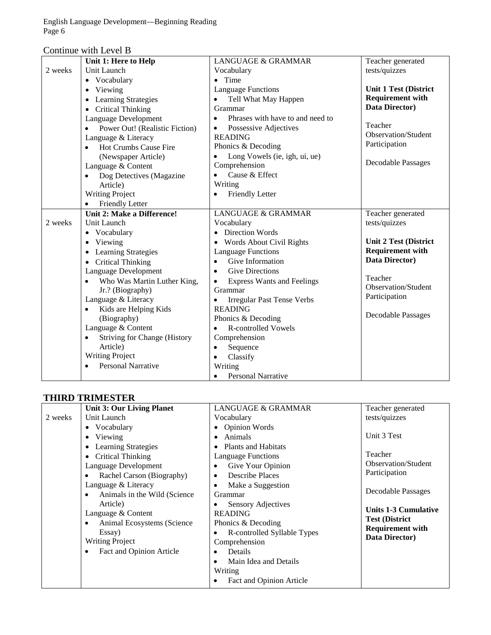English Language Development—Beginning Reading Page 6

| Continue with Level B |  |  |
|-----------------------|--|--|
|-----------------------|--|--|

| <b>Unit 1 Test (District</b> |
|------------------------------|
|                              |
|                              |
|                              |
|                              |
| <b>Requirement with</b>      |
|                              |
|                              |
|                              |
| <b>Observation/Student</b>   |
|                              |
|                              |
| <b>Decodable Passages</b>    |
|                              |
|                              |
|                              |
|                              |
|                              |
|                              |
|                              |
| <b>Unit 2 Test (District</b> |
| <b>Requirement with</b>      |
|                              |
|                              |
|                              |
| <b>Observation/Student</b>   |
|                              |
|                              |
| Decodable Passages           |
|                              |
|                              |
|                              |
|                              |
|                              |
|                              |
|                              |

#### **THIRD TRIMESTER**

|         | <b>Unit 3: Our Living Planet</b>   | LANGUAGE & GRAMMAR                 | Teacher generated           |
|---------|------------------------------------|------------------------------------|-----------------------------|
| 2 weeks | Unit Launch                        | Vocabulary                         | tests/quizzes               |
|         | • Vocabulary                       | • Opinion Words                    |                             |
|         | Viewing                            | Animals<br>٠                       | Unit 3 Test                 |
|         | <b>Learning Strategies</b>         | <b>Plants and Habitats</b><br>٠    |                             |
|         | Critical Thinking                  | Language Functions                 | Teacher                     |
|         | Language Development               | Give Your Opinion<br>٠             | Observation/Student         |
|         | Rachel Carson (Biography)          | <b>Describe Places</b><br>٠        | Participation               |
|         | Language & Literacy                | Make a Suggestion<br>٠             |                             |
|         | Animals in the Wild (Science)<br>٠ | Grammar                            | <b>Decodable Passages</b>   |
|         | Article)                           | Sensory Adjectives                 | <b>Units 1-3 Cumulative</b> |
|         | Language & Content                 | <b>READING</b>                     | <b>Test (District</b>       |
|         | Animal Ecosystems (Science)<br>٠   | Phonics & Decoding                 | <b>Requirement with</b>     |
|         | Essay)                             | R-controlled Syllable Types        | Data Director)              |
|         | <b>Writing Project</b>             | Comprehension                      |                             |
|         | Fact and Opinion Article<br>٠      | Details<br>٠                       |                             |
|         |                                    | Main Idea and Details<br>$\bullet$ |                             |
|         |                                    | Writing                            |                             |
|         |                                    | Fact and Opinion Article           |                             |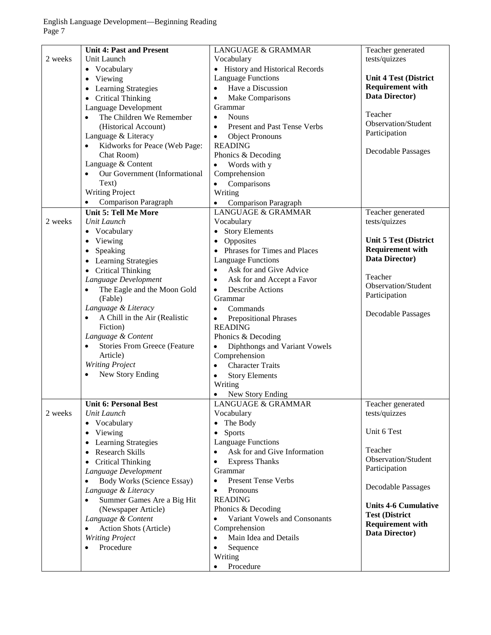|         | <b>Unit 4: Past and Present</b>                  | <b>LANGUAGE &amp; GRAMMAR</b>              | Teacher generated            |
|---------|--------------------------------------------------|--------------------------------------------|------------------------------|
| 2 weeks | Unit Launch                                      | Vocabulary                                 | tests/quizzes                |
|         | • Vocabulary                                     | • History and Historical Records           |                              |
|         | Viewing<br>$\bullet$                             | <b>Language Functions</b>                  | <b>Unit 4 Test (District</b> |
|         | <b>Learning Strategies</b><br>$\bullet$          | Have a Discussion<br>$\bullet$             | <b>Requirement with</b>      |
|         | <b>Critical Thinking</b><br>$\bullet$            | Make Comparisons<br>$\bullet$              | Data Director)               |
|         | Language Development                             | Grammar                                    |                              |
|         | The Children We Remember                         | <b>Nouns</b><br>$\bullet$                  | Teacher                      |
|         | (Historical Account)                             | Present and Past Tense Verbs<br>$\bullet$  | Observation/Student          |
|         | Language & Literacy                              | <b>Object Pronouns</b><br>$\bullet$        | Participation                |
|         | Kidworks for Peace (Web Page:<br>$\bullet$       | <b>READING</b>                             |                              |
|         | Chat Room)                                       | Phonics & Decoding                         | <b>Decodable Passages</b>    |
|         | Language & Content                               | Words with y<br>$\bullet$                  |                              |
|         | Our Government (Informational<br>$\bullet$       | Comprehension                              |                              |
|         | Text)                                            | Comparisons<br>$\bullet$                   |                              |
|         | <b>Writing Project</b>                           | Writing                                    |                              |
|         | <b>Comparison Paragraph</b><br>$\bullet$         | <b>Comparison Paragraph</b><br>$\bullet$   |                              |
|         | <b>Unit 5: Tell Me More</b>                      | <b>LANGUAGE &amp; GRAMMAR</b>              | Teacher generated            |
| 2 weeks | Unit Launch                                      | Vocabulary                                 | tests/quizzes                |
|         | Vocabulary                                       | <b>Story Elements</b><br>$\bullet$         |                              |
|         | Viewing<br>$\bullet$                             | Opposites<br>$\bullet$                     | <b>Unit 5 Test (District</b> |
|         |                                                  | • Phrases for Times and Places             | <b>Requirement with</b>      |
|         | Speaking<br>$\bullet$                            |                                            | Data Director)               |
|         | <b>Learning Strategies</b><br>$\bullet$          | <b>Language Functions</b>                  |                              |
|         | <b>Critical Thinking</b><br>$\bullet$            | Ask for and Give Advice<br>$\bullet$       | Teacher                      |
|         | Language Development                             | Ask for and Accept a Favor<br>$\bullet$    | Observation/Student          |
|         | The Eagle and the Moon Gold<br>$\bullet$         | <b>Describe Actions</b><br>$\bullet$       | Participation                |
|         | (Fable)                                          | Grammar                                    |                              |
|         | Language & Literacy                              | Commands<br>$\bullet$                      | Decodable Passages           |
|         | A Chill in the Air (Realistic<br>$\bullet$       | <b>Prepositional Phrases</b><br>$\bullet$  |                              |
|         | Fiction)                                         | <b>READING</b>                             |                              |
|         | Language & Content                               | Phonics & Decoding                         |                              |
|         | <b>Stories From Greece (Feature</b><br>$\bullet$ | Diphthongs and Variant Vowels<br>$\bullet$ |                              |
|         | Article)                                         | Comprehension                              |                              |
|         | <b>Writing Project</b>                           | <b>Character Traits</b><br>$\bullet$       |                              |
|         | New Story Ending<br>$\bullet$                    | <b>Story Elements</b><br>$\bullet$         |                              |
|         |                                                  | Writing                                    |                              |
|         |                                                  | New Story Ending<br>$\bullet$              |                              |
|         | <b>Unit 6: Personal Best</b>                     | LANGUAGE & GRAMMAR                         | Teacher generated            |
| 2 weeks | Unit Launch                                      | Vocabulary                                 | tests/quizzes                |
|         | Vocabulary<br>$\bullet$                          | The Body<br>$\bullet$                      |                              |
|         | Viewing<br>$\bullet$                             | Sports<br>$\bullet$                        | Unit 6 Test                  |
|         | Learning Strategies<br>$\bullet$                 | <b>Language Functions</b>                  |                              |
|         | <b>Research Skills</b><br>$\bullet$              | Ask for and Give Information<br>$\bullet$  | Teacher                      |
|         | <b>Critical Thinking</b><br>$\bullet$            | <b>Express Thanks</b><br>$\bullet$         | Observation/Student          |
|         | Language Development                             | Grammar                                    | Participation                |
|         | <b>Body Works (Science Essay)</b><br>$\bullet$   | <b>Present Tense Verbs</b><br>$\bullet$    |                              |
|         | Language & Literacy                              | Pronouns<br>$\bullet$                      | <b>Decodable Passages</b>    |
|         | Summer Games Are a Big Hit<br>$\bullet$          | <b>READING</b>                             | <b>Units 4-6 Cumulative</b>  |
|         | (Newspaper Article)                              | Phonics & Decoding                         | <b>Test (District</b>        |
|         | Language & Content                               | Variant Vowels and Consonants<br>$\bullet$ | <b>Requirement with</b>      |
|         | Action Shots (Article)<br>$\bullet$              | Comprehension                              | Data Director)               |
|         | <b>Writing Project</b>                           | Main Idea and Details<br>$\bullet$         |                              |
|         | Procedure<br>$\bullet$                           | Sequence<br>$\bullet$                      |                              |
|         |                                                  | Writing                                    |                              |
|         |                                                  | Procedure                                  |                              |